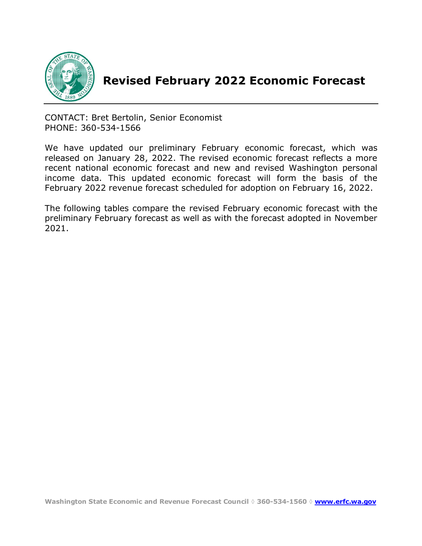

# **Revised February 2022 Economic Forecast**

CONTACT: Bret Bertolin, Senior Economist PHONE: 360-534-1566

We have updated our preliminary February economic forecast, which was released on January 28, 2022. The revised economic forecast reflects a more recent national economic forecast and new and revised Washington personal income data. This updated economic forecast will form the basis of the February 2022 revenue forecast scheduled for adoption on February 16, 2022.

The following tables compare the revised February economic forecast with the preliminary February forecast as well as with the forecast adopted in November 2021.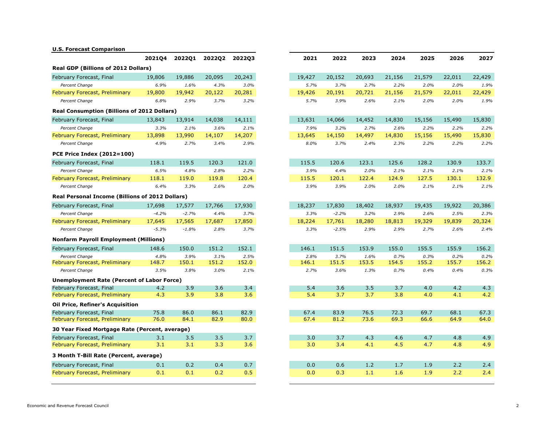## **U.S. Forecast Comparison**

|                                                        | 2021Q4  | 2022Q1  | <b>2022Q2</b> | <b>2022Q3</b> |
|--------------------------------------------------------|---------|---------|---------------|---------------|
| <b>Real GDP (Billions of 2012 Dollars)</b>             |         |         |               |               |
| February Forecast, Final                               | 19,806  | 19,886  | 20,095        | 20,243        |
| Percent Change                                         | 6.9%    | 1.6%    | 4.3%          | 3.0%          |
| February Forecast, Preliminary                         | 19,800  | 19,942  | 20,122        | 20,281        |
| Percent Change                                         | 6.8%    | 2.9%    | 3.7%          | 3.2%          |
| <b>Real Consumption (Billions of 2012 Dollars)</b>     |         |         |               |               |
| February Forecast, Final                               | 13,843  | 13,914  | 14,038        | 14,111        |
| Percent Change                                         | 3.3%    | 2.1%    | 3.6%          | 2.1%          |
| February Forecast, Preliminary                         | 13,898  | 13,990  | 14,107        | 14,207        |
| Percent Change                                         | 4.9%    | 2.7%    | 3.4%          | 2.9%          |
| <b>PCE Price Index (2012=100)</b>                      |         |         |               |               |
| February Forecast, Final                               | 118.1   | 119.5   | 120.3         | 121.0         |
| Percent Change                                         | 6.5%    | 4.8%    | 2.8%          | 2.2%          |
| February Forecast, Preliminary                         | 118.1   | 119.0   | 119.8         | 120.4         |
| Percent Change                                         | 6.4%    | 3.3%    | 2.6%          | 2.0%          |
| <b>Real Personal Income (Billions of 2012 Dollars)</b> |         |         |               |               |
| February Forecast, Final                               | 17,698  | 17,577  | 17,766        | 17,930        |
| Percent Change                                         | $-4.2%$ | $-2.7%$ | 4.4%          | 3.7%          |
| February Forecast, Preliminary                         | 17,645  | 17,565  | 17,687        | 17,850        |
| Percent Change                                         | $-5.3%$ | $-1.8%$ | 2.8%          | 3.7%          |
| <b>Nonfarm Payroll Employment (Millions)</b>           |         |         |               |               |
| February Forecast, Final                               | 148.6   | 150.0   | 151.2         | 152.1         |
| Percent Change                                         | 4.8%    | 3.9%    | 3.1%          | 2.5%          |
| February Forecast, Preliminary                         | 148.7   | 150.1   | 151.2         | 152.0         |
| Percent Change                                         | 3.5%    | 3.8%    | 3.0%          | 2.1%          |
| <b>Unemployment Rate (Percent of Labor Force)</b>      |         |         |               |               |
| February Forecast, Final                               | 4.2     | 3.9     | 3.6           | 3.4           |
| February Forecast, Preliminary                         | 4.3     | 3.9     | 3.8           | 3.6           |
| <b>Oil Price, Refiner's Acquisition</b>                |         |         |               |               |
| February Forecast, Final                               | 75.8    | 86.0    | 86.1          | 82.9          |
| February Forecast, Preliminary                         | 76.0    | 84.1    | 82.9          | 80.0          |
| 30 Year Fixed Mortgage Rate (Percent, average)         |         |         |               |               |
| February Forecast, Final                               | 3.1     | 3.5     | 3.5           | 3.7           |
| February Forecast, Preliminary                         | 3.1     | 3.1     | 3.3           | 3.6           |
| 3 Month T-Bill Rate (Percent, average)                 |         |         |               |               |
| February Forecast, Final                               | 0.1     | 0.2     | 0.4           | 0.7           |
| February Forecast, Preliminary                         | 0.1     | 0.1     | 0.2           | 0.5           |
|                                                        |         |         |               |               |

| 2021Q4           | 2022Q1       | 2022Q2       | 2022Q3       |
|------------------|--------------|--------------|--------------|
| ′s)              |              |              |              |
| 19,806           | 19,886       | 20,095       | 20,243       |
| 6.9%             | 1.6%         | 4.3%         | 3.0%         |
| 19,800           | 19,942       | 20,122       | 20,281       |
| 6.8%             | 2.9%         | 3.7%         | 3.2%         |
| 12 Dollars)      |              |              |              |
| 13,843           | 13,914       | 14,038       | 14,111       |
| 3.3%             | 2.1%         | 3.6%         | 2.1%         |
| 13,898           | 13,990       | 14,107       | 14,207       |
| 4.9%             | 2.7%         | 3.4%         | 2.9%         |
| 118.1            | 119.5        | 120.3        | 121.0        |
| 6.5%             | 4.8%         | 2.8%         | 2.2%         |
| 118.1            | 119.0        | 119.8        | 120.4        |
| 6.4%             | 3.3%         | 2.6%         | 2.0%         |
| f 2012 Dollars)  |              |              |              |
| 17,698           | 17,577       | 17,766       | 17,930       |
| $-4.2%$          | $-2.7%$      | 4.4%         | 3.7%         |
| 17,645           | 17,565       | 17,687       | 17,850       |
| $-5.3%$          | $-1.8%$      | 2.8%         | 3.7%         |
| illions)         |              |              |              |
| 148.6            | 150.0        | 151.2        | 152.1        |
| 4.8%             | 3.9%         | 3.1%         | 2.5%         |
| 148.7            | 150.1        | 151.2        | 152.0        |
| 3.5%             | 3.8%         | 3.0%         | 2.1%         |
| Labor Force)     |              |              |              |
| 4.2              | 3.9          | 3.6          | 3.4          |
| 4.3              | 3.9          | 3.8          | 3.6          |
|                  |              |              |              |
| 75.8<br>76.0     | 86.0<br>84.1 | 86.1<br>82.9 | 82.9<br>80.0 |
|                  |              |              |              |
| ercent, average) |              |              |              |
| 3.1<br>3.1       | 3.5<br>3.1   | 3.5<br>3.3   | 3.7<br>3.6   |
| erage)           |              |              |              |
|                  |              |              |              |
| 0.1              | 0.2          | 0.4          | 0.7          |
| 0.1              | 0.1          | 0.2          | 0.5          |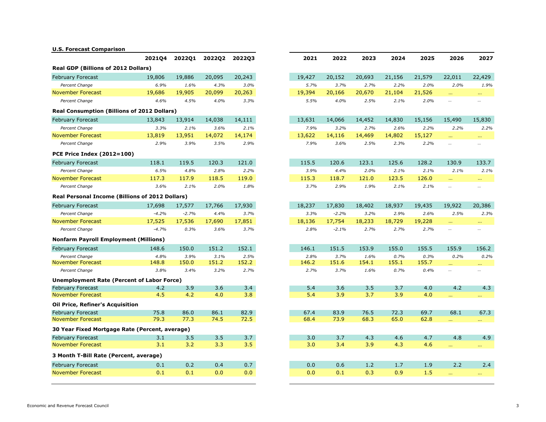## **U.S. Forecast Comparison**

|                                                        | <b>2021Q4</b> | 2022Q1  | 2022Q2 | 2022Q3 | 2021   | 2022    | 2023   | 2024   | 2025   | 2026                        | 2027        |
|--------------------------------------------------------|---------------|---------|--------|--------|--------|---------|--------|--------|--------|-----------------------------|-------------|
| <b>Real GDP (Billions of 2012 Dollars)</b>             |               |         |        |        |        |         |        |        |        |                             |             |
| <b>February Forecast</b>                               | 19,806        | 19,886  | 20,095 | 20,243 | 19,427 | 20,152  | 20,693 | 21,156 | 21,579 | 22,011                      | 22,429      |
| Percent Change                                         | 6.9%          | 1.6%    | 4.3%   | 3.0%   | 5.7%   | 3.7%    | 2.7%   | 2.2%   | 2.0%   | 2.0%                        |             |
| <b>November Forecast</b>                               | 19,686        | 19,905  | 20,099 | 20,263 | 19,394 | 20,166  | 20,670 | 21,104 | 21,526 | $\sim 10$                   | $\sim 0.00$ |
| Percent Change                                         | 4.6%          | 4.5%    | 4.0%   | 3.3%   | 5.5%   | 4.0%    | 2.5%   | 2.1%   | 2.0%   | $\ldots$                    |             |
| <b>Real Consumption (Billions of 2012 Dollars)</b>     |               |         |        |        |        |         |        |        |        |                             |             |
| <b>February Forecast</b>                               | 13,843        | 13,914  | 14,038 | 14,111 | 13,631 | 14,066  | 14,452 | 14,830 | 15,156 | 15,490                      | 15,830      |
| Percent Change                                         | 3.3%          | 2.1%    | 3.6%   | 2.1%   | 7.9%   | 3.2%    | 2.7%   | 2.6%   | 2.2%   | 2.2%                        |             |
| <b>November Forecast</b>                               | 13,819        | 13,951  | 14,072 | 14,174 | 13,622 | 14,116  | 14,469 | 14,802 | 15,127 | $\mathbf{r}$ and            |             |
| Percent Change                                         | 2.9%          | 3.9%    | 3.5%   | 2.9%   | 7.9%   | 3.6%    | 2.5%   | 2.3%   | 2.2%   | $\cdots$                    |             |
| <b>PCE Price Index (2012=100)</b>                      |               |         |        |        |        |         |        |        |        |                             |             |
| <b>February Forecast</b>                               | 118.1         | 119.5   | 120.3  | 121.0  | 115.5  | 120.6   | 123.1  | 125.6  | 128.2  | 130.9                       |             |
| Percent Change                                         | 6.5%          | 4.8%    | 2.8%   | 2.2%   | 3.9%   | 4.4%    | 2.0%   | 2.1%   | 2.1%   | 2.1%                        |             |
| <b>November Forecast</b>                               | 117.3         | 117.9   | 118.5  | 119.0  | 115.3  | 118.7   | 121.0  | 123.5  | 126.0  | $\mathbf{r}$ and            |             |
| Percent Change                                         | 3.6%          | 2.1%    | 2.0%   | 1.8%   | 3.7%   | 2.9%    | 1.9%   | 2.1%   | 2.1%   | $\cdots$                    |             |
| <b>Real Personal Income (Billions of 2012 Dollars)</b> |               |         |        |        |        |         |        |        |        |                             |             |
| <b>February Forecast</b>                               | 17,698        | 17,577  | 17,766 | 17,930 | 18,237 | 17,830  | 18,402 | 18,937 | 19,435 | 19,922                      | 20,386      |
| Percent Change                                         | $-4.2%$       | $-2.7%$ | 4.4%   | 3.7%   | 3.3%   | $-2.2%$ | 3.2%   | 2.9%   | 2.6%   | 2.5%                        |             |
| <b>November Forecast</b>                               | 17,525        | 17,536  | 17,690 | 17,851 | 18,136 | 17,754  | 18,233 | 18,729 | 19,228 | $\sim 10$                   |             |
| Percent Change                                         | $-4.7%$       | 0.3%    | 3.6%   | 3.7%   | 2.8%   | $-2.1%$ | 2.7%   | 2.7%   | 2.7%   | $\cdots$                    |             |
| <b>Nonfarm Payroll Employment (Millions)</b>           |               |         |        |        |        |         |        |        |        |                             |             |
| <b>February Forecast</b>                               | 148.6         | 150.0   | 151.2  | 152.1  | 146.1  | 151.5   | 153.9  | 155.0  | 155.5  | 155.9                       |             |
| Percent Change                                         | 4.8%          | 3.9%    | 3.1%   | 2.5%   | 2.8%   | 3.7%    | 1.6%   | 0.7%   | 0.3%   | 0.2%                        |             |
| <b>November Forecast</b>                               | 148.8         | 150.0   | 151.2  | 152.2  | 146.2  | 151.6   | 154.1  | 155.1  | 155.7  | $\sim 100$                  |             |
| Percent Change                                         | 3.8%          | 3.4%    | 3.2%   | 2.7%   | 2.7%   | 3.7%    | 1.6%   | 0.7%   | 0.4%   | $\cdots$                    |             |
| <b>Unemployment Rate (Percent of Labor Force)</b>      |               |         |        |        |        |         |        |        |        |                             |             |
| <b>February Forecast</b>                               | 4.2           | 3.9     | 3.6    | 3.4    | 5.4    | 3.6     | 3.5    | 3.7    | 4.0    | 4.2                         |             |
| <b>November Forecast</b>                               | 4.5           | 4.2     | 4.0    | 3.8    | 5.4    | 3.9     | 3.7    | 3.9    | 4.0    | òч.                         |             |
| <b>Oil Price, Refiner's Acquisition</b>                |               |         |        |        |        |         |        |        |        |                             |             |
| <b>February Forecast</b>                               | 75.8          | 86.0    | 86.1   | 82.9   | 67.4   | 83.9    | 76.5   | 72.3   | 69.7   | 68.1                        |             |
| <b>November Forecast</b>                               | 79.3          | 77.3    | 74.5   | 72.5   | 68.4   | 73.9    | 68.3   | 65.0   | 62.8   | $\mathbf{r}$ , $\mathbf{r}$ |             |
| 30 Year Fixed Mortgage Rate (Percent, average)         |               |         |        |        |        |         |        |        |        |                             |             |
| <b>February Forecast</b>                               | 3.1           | 3.5     | 3.5    | 3.7    | 3.0    | 3.7     | 4.3    | 4.6    | 4.7    | 4.8                         |             |
| <b>November Forecast</b>                               | 3.1           | 3.2     | 3.3    | 3.5    | 3.0    | 3.4     | 3.9    | 4.3    | 4.6    | $\sim 10^{-1}$              |             |
| 3 Month T-Bill Rate (Percent, average)                 |               |         |        |        |        |         |        |        |        |                             |             |
| February Forecast                                      | 0.1           | 0.2     | 0.4    | 0.7    | 0.0    | 0.6     | 1.2    | 1.7    | 1.9    | 2.2                         |             |
| <b>November Forecast</b>                               | 0.1           | 0.1     | 0.0    | 0.0    | 0.0    | 0.1     | 0.3    | 0.9    | 1.5    |                             |             |

| 2021Q4              | 2022Q1  | 2022Q2 | 2022Q3 |
|---------------------|---------|--------|--------|
| ′s)                 |         |        |        |
| 19,806              | 19,886  | 20,095 | 20,243 |
| 6.9%                | 1.6%    | 4.3%   | 3.0%   |
| 19,686              | 19,905  | 20,099 | 20,263 |
| 4.6%                | 4.5%    | 4.0%   | 3.3%   |
| 12 Dollars)         |         |        |        |
| 13,843              | 13,914  | 14,038 | 14,111 |
| 3.3%                | 2.1%    | 3.6%   | 2.1%   |
| 13,819              | 13,951  | 14,072 | 14,174 |
| 2.9%                | 3.9%    | 3.5%   | 2.9%   |
|                     |         |        |        |
| 118.1               | 119.5   | 120.3  | 121.0  |
| 6.5%                | 4.8%    | 2.8%   | 2.2%   |
| 117.3               | 117.9   | 118.5  | 119.0  |
| 3.6%                | 2.1%    | 2.0%   | 1.8%   |
| f 2012 Dollars)     |         |        |        |
| 17,698              | 17,577  | 17,766 | 17,930 |
| $-4.2%$             | $-2.7%$ | 4.4%   | 3.7%   |
| 17,525              | 17,536  | 17,690 | 17,851 |
| $-4.7%$             | 0.3%    | 3.6%   | 3.7%   |
| illions)            |         |        |        |
| 148.6               | 150.0   | 151.2  | 152.1  |
| 4.8%                | 3.9%    | 3.1%   | 2.5%   |
| 148.8               | 150.0   | 151.2  | 152.2  |
| 3.8%                | 3.4%    | 3.2%   | 2.7%   |
| <b>Labor Force)</b> |         |        |        |
| 4.2                 | 3.9     | 3.6    | 3.4    |
| 4.5                 | 4.2     | 4.0    | 3.8    |
|                     |         |        |        |
| 75.8                | 86.0    | 86.1   | 82.9   |
| 79.3                | 77.3    | 74.5   | 72.5   |
| ercent, average)    |         |        |        |
| 3.1                 | 3.5     | 3.5    | 3.7    |
| 3.1                 | 3.2     | 3.3    | 3.5    |
| erage)              |         |        |        |
| 0.1                 | 0.2     | 0.4    | 0.7    |
| 0.1                 | 0.1     | 0.0    | 0.0    |
|                     |         |        |        |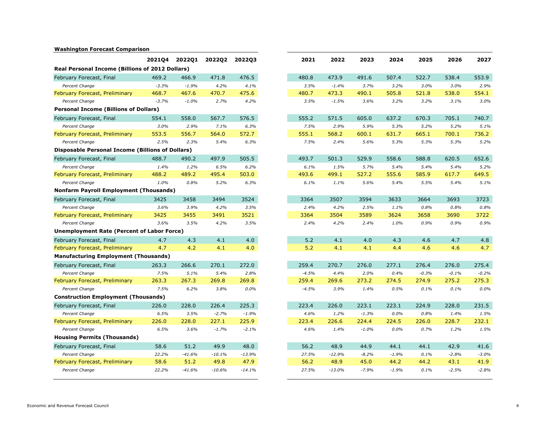## **Washington Forecast Comparison**

| 2021Q4<br><b>2022Q2</b><br>2022Q3<br>2022Q1                                                                                                                                                                                                                                                                                                                                                        | 2021                                                    | 2022                                                          | 2023                                                              | 2024                                                              | 2025                                                     | 2026                                                        |
|----------------------------------------------------------------------------------------------------------------------------------------------------------------------------------------------------------------------------------------------------------------------------------------------------------------------------------------------------------------------------------------------------|---------------------------------------------------------|---------------------------------------------------------------|-------------------------------------------------------------------|-------------------------------------------------------------------|----------------------------------------------------------|-------------------------------------------------------------|
| <b>Real Personal Income (Billions of 2012 Dollars)</b>                                                                                                                                                                                                                                                                                                                                             |                                                         |                                                               |                                                                   |                                                                   |                                                          |                                                             |
| February Forecast, Final<br>469.2<br>471.8<br>476.5<br>466.9                                                                                                                                                                                                                                                                                                                                       | 480.8                                                   | 473.9                                                         | 491.6                                                             | 507.4                                                             | 522.7                                                    | 538.4                                                       |
| 4.2%<br>Percent Change<br>$-3.3%$<br>$-1.9%$<br>4.1%                                                                                                                                                                                                                                                                                                                                               | 3.5%                                                    | $-1.4%$                                                       | 3.7%                                                              | 3.2%                                                              | 3.0%                                                     | 3.0%                                                        |
| 475.6<br>February Forecast, Preliminary<br>468.7<br>467.6<br>470.7                                                                                                                                                                                                                                                                                                                                 | 480.7                                                   | 473.3                                                         | 490.1                                                             | 505.8                                                             | 521.8                                                    | 538.0                                                       |
| $-1.0%$<br>2.7%<br>4.2%<br>Percent Change<br>$-3.7%$                                                                                                                                                                                                                                                                                                                                               | 3.5%                                                    | $-1.5%$                                                       | 3.6%                                                              | 3.2%                                                              | 3.2%                                                     | 3.1%                                                        |
| <b>Personal Income (Billions of Dollars)</b>                                                                                                                                                                                                                                                                                                                                                       |                                                         |                                                               |                                                                   |                                                                   |                                                          |                                                             |
| February Forecast, Final<br>558.0<br>576.5<br>554.1<br>567.7                                                                                                                                                                                                                                                                                                                                       | 555.2                                                   | 571.5                                                         | 605.0                                                             | 637.2                                                             | 670.3                                                    | 705.1                                                       |
| Percent Change<br>3.0%<br>7.1%<br>6.3%<br>2.9%                                                                                                                                                                                                                                                                                                                                                     | 7.5%                                                    | 2.9%                                                          | 5.9%                                                              | 5.3%                                                              | 5.2%                                                     | 5.2%                                                        |
| February Forecast, Preliminary<br>553.5<br>556.7<br>564.0<br>572.7                                                                                                                                                                                                                                                                                                                                 | 555.1                                                   | 568.2                                                         | 600.1                                                             | 631.7                                                             | 665.1                                                    | 700.1                                                       |
| Percent Change<br>2.5%<br>5.4%<br>6.3%<br>2.3%                                                                                                                                                                                                                                                                                                                                                     | 7.5%                                                    | 2.4%                                                          | 5.6%                                                              | 5.3%                                                              | 5.3%                                                     | 5.3%                                                        |
| <b>Disposable Personal Income (Billions of Dollars)</b>                                                                                                                                                                                                                                                                                                                                            |                                                         |                                                               |                                                                   |                                                                   |                                                          |                                                             |
| 505.5<br>February Forecast, Final<br>488.7<br>497.9<br>490.2                                                                                                                                                                                                                                                                                                                                       | 493.7                                                   | 501.3                                                         | 529.9                                                             | 558.6                                                             | 588.8                                                    | 620.5                                                       |
| Percent Change<br>1.4%<br>1.2%<br>6.5%<br>6.2%                                                                                                                                                                                                                                                                                                                                                     | 6.1%                                                    | 1.5%                                                          | 5.7%                                                              | 5.4%                                                              | 5.4%                                                     | 5.4%                                                        |
| 495.4<br>503.0<br>February Forecast, Preliminary<br>488.2<br>489.2                                                                                                                                                                                                                                                                                                                                 | 493.6                                                   | 499.1                                                         | 527.2                                                             | 555.6                                                             | 585.9                                                    | 617.7                                                       |
| 1.0%<br>0.8%<br>5.2%<br>6.3%<br>Percent Change                                                                                                                                                                                                                                                                                                                                                     | 6.1%                                                    | 1.1%                                                          | 5.6%                                                              | 5.4%                                                              | 5.5%                                                     | 5.4%                                                        |
| <b>Nonfarm Payroll Employment (Thousands)</b>                                                                                                                                                                                                                                                                                                                                                      |                                                         |                                                               |                                                                   |                                                                   |                                                          |                                                             |
| February Forecast, Final<br>3425<br>3458<br>3494<br>3524                                                                                                                                                                                                                                                                                                                                           | 3364                                                    | 3507                                                          | 3594                                                              | 3633                                                              | 3664                                                     | 3693                                                        |
| Percent Change<br>3.6%<br>3.5%<br>3.9%<br>4.2%                                                                                                                                                                                                                                                                                                                                                     | 2.4%                                                    | 4.2%                                                          | 2.5%                                                              | 1.1%                                                              | 0.8%                                                     | 0.8%                                                        |
| February Forecast, Preliminary<br>3425<br>3491<br>3521<br>3455                                                                                                                                                                                                                                                                                                                                     | 3364                                                    | 3504                                                          | 3589                                                              | 3624                                                              | 3658                                                     | 3690                                                        |
| 3.6%<br>3.5%<br>4.2%<br>3.5%<br>Percent Change                                                                                                                                                                                                                                                                                                                                                     | 2.4%                                                    | 4.2%                                                          | 2.4%                                                              | 1.0%                                                              | 0.9%                                                     | 0.9%                                                        |
| <b>Unemployment Rate (Percent of Labor Force)</b>                                                                                                                                                                                                                                                                                                                                                  |                                                         |                                                               |                                                                   |                                                                   |                                                          |                                                             |
| 4.7<br>4.3<br>4.1<br>4.0<br>February Forecast, Final                                                                                                                                                                                                                                                                                                                                               | 5.2                                                     | 4.1                                                           | 4.0                                                               | 4.3                                                               | 4.6                                                      | 4.7                                                         |
| 4.2<br>4.1<br>February Forecast, Preliminary<br>4.7<br>4.0                                                                                                                                                                                                                                                                                                                                         | 5.2                                                     | 4.1                                                           | 4.1                                                               | 4.4                                                               | 4.6                                                      | 4.6                                                         |
| <b>Manufacturing Employment (Thousands)</b>                                                                                                                                                                                                                                                                                                                                                        |                                                         |                                                               |                                                                   |                                                                   |                                                          |                                                             |
| 272.0<br>February Forecast, Final<br>263.3<br>266.6<br>270.1                                                                                                                                                                                                                                                                                                                                       | 259.4                                                   | 270.7                                                         | 276.0                                                             | 277.1                                                             | 276.4                                                    | 276.0                                                       |
| 7.5%<br>5.1%<br>5.4%<br>Percent Change<br>2.8%                                                                                                                                                                                                                                                                                                                                                     | $-4.5%$                                                 | 4.4%                                                          | 2.0%                                                              | 0.4%                                                              | $-0.3%$                                                  | $-0.1%$                                                     |
| <b>February Forecast, Preliminary</b><br>263.3<br>267.3<br>269.8<br>269.8                                                                                                                                                                                                                                                                                                                          | 259.4                                                   | 269.6                                                         | 273.2                                                             | 274.5                                                             | 274.9                                                    | 275.2                                                       |
| Percent Change<br>7.5%<br>6.2%<br>3.8%<br>$0.0\%$                                                                                                                                                                                                                                                                                                                                                  | $-4.5%$                                                 | 3.9%                                                          | 1.4%                                                              | 0.5%                                                              | 0.1%                                                     | $0.1\%$                                                     |
| <b>Construction Employment (Thousands)</b>                                                                                                                                                                                                                                                                                                                                                         |                                                         |                                                               |                                                                   |                                                                   |                                                          |                                                             |
| February Forecast, Final<br>226.4<br>225.3<br>226.0<br>228.0                                                                                                                                                                                                                                                                                                                                       | 223.4                                                   | 226.0                                                         | 223.1                                                             | 223.1                                                             | 224.9                                                    | 228.0                                                       |
| Percent Change                                                                                                                                                                                                                                                                                                                                                                                     |                                                         |                                                               |                                                                   |                                                                   |                                                          |                                                             |
|                                                                                                                                                                                                                                                                                                                                                                                                    |                                                         |                                                               |                                                                   |                                                                   |                                                          |                                                             |
| Percent Change<br>6.5%                                                                                                                                                                                                                                                                                                                                                                             |                                                         |                                                               |                                                                   |                                                                   |                                                          |                                                             |
| <b>Housing Permits (Thousands)</b>                                                                                                                                                                                                                                                                                                                                                                 |                                                         |                                                               |                                                                   |                                                                   |                                                          |                                                             |
|                                                                                                                                                                                                                                                                                                                                                                                                    |                                                         |                                                               |                                                                   |                                                                   |                                                          |                                                             |
|                                                                                                                                                                                                                                                                                                                                                                                                    |                                                         |                                                               |                                                                   |                                                                   |                                                          |                                                             |
|                                                                                                                                                                                                                                                                                                                                                                                                    |                                                         |                                                               |                                                                   |                                                                   |                                                          |                                                             |
|                                                                                                                                                                                                                                                                                                                                                                                                    |                                                         |                                                               |                                                                   |                                                                   |                                                          |                                                             |
| $-1.9%$<br>6.5%<br>3.5%<br>$-2.7%$<br>February Forecast, Preliminary<br>226.0<br>228.0<br>227.1<br>225.9<br>3.6%<br>$-1.7%$<br>$-2.1%$<br>48.0<br>February Forecast, Final<br>58.6<br>51.2<br>49.9<br>Percent Change<br>22.2%<br>$-41.6%$<br>$-13.9%$<br>$-10.1%$<br>February Forecast, Preliminary<br>47.9<br>58.6<br>51.2<br>49.8<br>Percent Change<br>22.2%<br>$-41.6%$<br>$-10.6%$<br>$-14.1%$ | 4.6%<br>223.4<br>4.6%<br>56.2<br>27.5%<br>56.2<br>27.5% | 1.2%<br>226.6<br>1.4%<br>48.9<br>$-12.9%$<br>48.9<br>$-13.0%$ | $-1.3%$<br>224.4<br>$-1.0%$<br>44.9<br>$-8.2%$<br>45.0<br>$-7.9%$ | $0.0\%$<br>224.5<br>$0.0\%$<br>44.1<br>$-1.9%$<br>44.2<br>$-1.9%$ | 0.8%<br>226.0<br>0.7%<br>44.1<br>0.1%<br>44.2<br>$0.1\%$ | 1.4%<br>228.7<br>1.2%<br>42.9<br>$-2.8%$<br>43.1<br>$-2.5%$ |